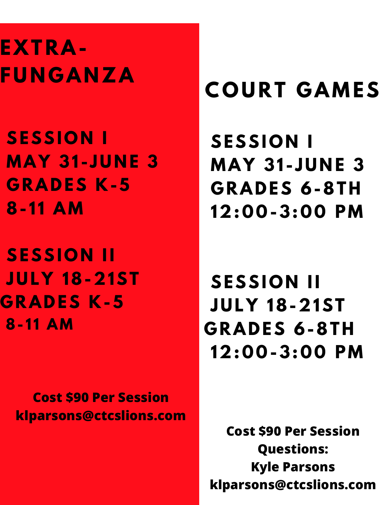# **EXT RA-F U N G A N ZA**

**SESSI O N I MAY 31 - J U N E 3 G RAD ES K-5 8- 1 1 AM**

**SESSION II J U L Y 18-21ST G RAD ES K-5 8- 1 1 AM**

> **Cost \$90 Per Session klparsons@ctcslions.com**

# **C O U R T G AMES**

**SESSI O N I MAY 31 - J U N E 3 G RAD ES 6-8TH 12: 0 0 -3: 0 0 PM**

**SESSION II J U L Y 18-21ST G RAD ES 6-8TH 12: 0 0 -3: 0 0 PM**

**Cost \$90 Per Session Questions: Kyle Parsons klparsons@ctcslions.com**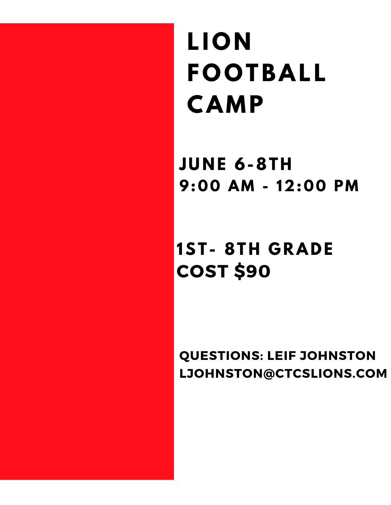**L I O N F O O TBAL L CAMP**

**J U N E 6-8TH 9: 0 0 AM - 12: 0 0 PM**

### **COST \$90 1ST - 8TH G RAD E**

**QUESTIONS: LEIF JOHNSTON LJOHNSTON@CTCSLIONS.COM**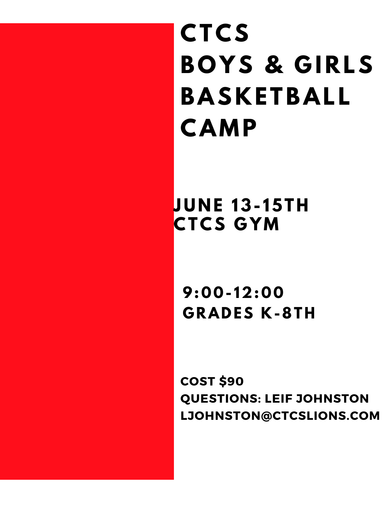**CTCS B O Y S & G I R LS BASKE TBAL L CAMP**

**J U N E 13- 15TH CTCS G YM**

**9: 0 0 - 12: 0 0 G RAD ES K-8TH**

**COST \$90 QUESTIONS: LEIF JOHNSTON LJOHNSTON@CTCSLIONS.COM**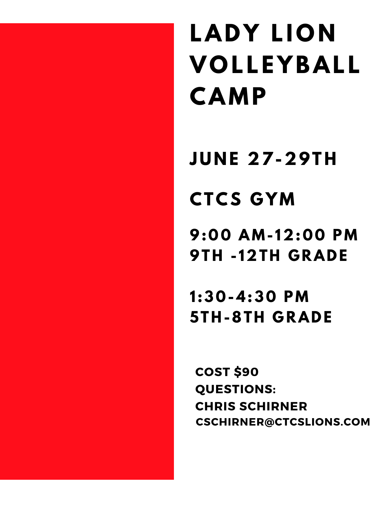# **LADY LION V O L L E Y BAL L CAMP**

**J U N E 27-29TH**

## **CTCS G YM**

**9: 0 0 AM- 12: 0 0 PM 9TH - 12TH G RAD E**

**1 :3 0 -4:3 0 PM 5TH-8TH G RAD E**

**COST \$90 QUESTIONS: CHRIS SCHIRNER CSCHIRNER@CTCSLIONS.COM**